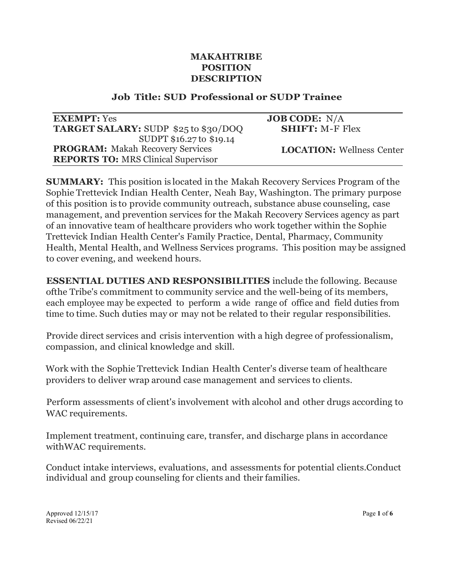### **MAKAHTRIBE POSITION DESCRIPTION**

#### **Job Title: SUD Professional or SUDP Trainee**

| <b>EXEMPT:</b> Yes                         | <b>JOB CODE:</b> $N/A$           |
|--------------------------------------------|----------------------------------|
| TARGET SALARY: SUDP \$25 to \$30/DOQ       | <b>SHIFT: M-F Flex</b>           |
| SUDPT \$16.27 to \$19.14                   |                                  |
| <b>PROGRAM:</b> Makah Recovery Services    | <b>LOCATION:</b> Wellness Center |
| <b>REPORTS TO: MRS Clinical Supervisor</b> |                                  |

**SUMMARY:** This position is located in the Makah Recovery Services Program of the Sophie Trettevick Indian Health Center, Neah Bay, Washington. The primary purpose of this position is to provide community outreach, substance abuse counseling, case management, and prevention services for the Makah Recovery Services agency as part of an innovative team of healthcare providers who work together within the Sophie Trettevick Indian Health Center's Family Practice, Dental, Pharmacy, Community Health, Mental Health, and Wellness Services programs. This position may be assigned to cover evening, and weekend hours.

**ESSENTIAL DUTIES AND RESPONSIBILITIES** include the following. Because ofthe Tribe's commitment to community service and the well-being of its members, each employee may be expected to perform a wide range of office and field duties from time to time. Such duties may or may not be related to their regular responsibilities.

Provide direct services and crisis intervention with a high degree of professionalism, compassion, and clinical knowledge and skill.

Work with the Sophie Trettevick Indian Health Center's diverse team of healthcare providers to deliver wrap around case management and services to clients.

Perform assessments of client's involvement with alcohol and other drugs according to WAC requirements.

Implement treatment, continuing care, transfer, and discharge plans in accordance withWAC requirements.

Conduct intake interviews, evaluations, and assessments for potential clients.Conduct individual and group counseling for clients and their families.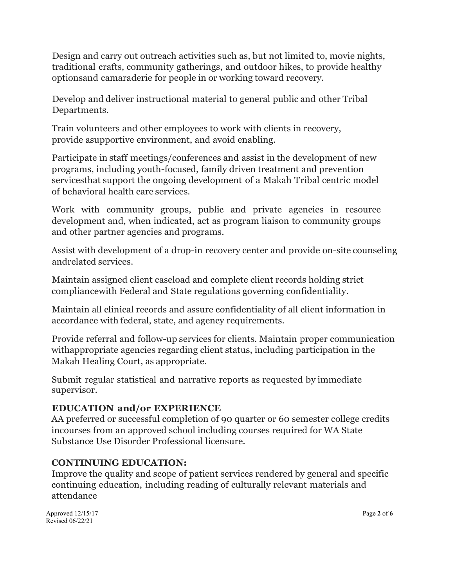Design and carry out outreach activities such as, but not limited to, movie nights, traditional crafts, community gatherings, and outdoor hikes, to provide healthy optionsand camaraderie for people in or working toward recovery.

Develop and deliver instructional material to general public and other Tribal Departments.

Train volunteers and other employees to work with clients in recovery, provide asupportive environment, and avoid enabling.

Participate in staff meetings/conferences and assist in the development of new programs, including youth-focused, family driven treatment and prevention servicesthat support the ongoing development of a Makah Tribal centric model of behavioral health care services.

Work with community groups, public and private agencies in resource development and, when indicated, act as program liaison to community groups and other partner agencies and programs.

Assist with development of a drop-in recovery center and provide on-site counseling andrelated services.

Maintain assigned client caseload and complete client records holding strict compliancewith Federal and State regulations governing confidentiality.

Maintain all clinical records and assure confidentiality of all client information in accordance with federal, state, and agency requirements.

Provide referral and follow-up services for clients. Maintain proper communication withappropriate agencies regarding client status, including participation in the Makah Healing Court, as appropriate.

Submit regular statistical and narrative reports as requested by immediate supervisor.

## **EDUCATION and/or EXPERIENCE**

AA preferred or successful completion of 90 quarter or 60 semester college credits incourses from an approved school including courses required for WA State Substance Use Disorder Professional licensure.

### **CONTINUING EDUCATION:**

Improve the quality and scope of patient services rendered by general and specific continuing education, including reading of culturally relevant materials and attendance

Approved 12/15/17 **Page 2** of **6** Revised 06/22/21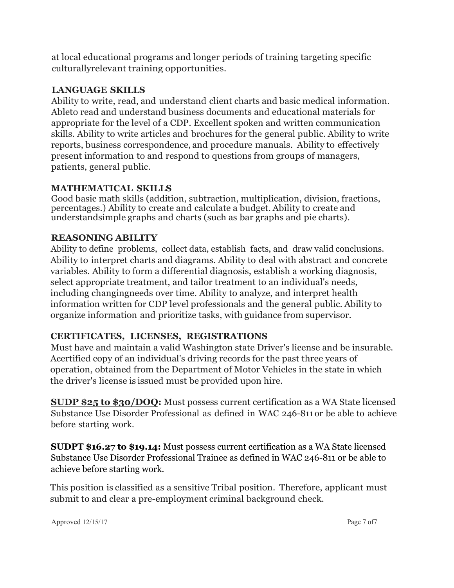at local educational programs and longer periods of training targeting specific culturallyrelevant training opportunities.

### **LANGUAGE SKILLS**

Ability to write, read, and understand client charts and basic medical information. Ableto read and understand business documents and educational materials for appropriate for the level of a CDP. Excellent spoken and written communication skills. Ability to write articles and brochures for the general public. Ability to write reports, business correspondence, and procedure manuals. Ability to effectively present information to and respond to questions from groups of managers, patients, general public.

### **MATHEMATICAL SKILLS**

Good basic math skills (addition, subtraction, multiplication, division, fractions, percentages.) Ability to create and calculate a budget. Ability to create and understandsimple graphs and charts (such as bar graphs and pie charts).

## **REASONING ABILITY**

Ability to define problems, collect data, establish facts, and draw valid conclusions. Ability to interpret charts and diagrams. Ability to deal with abstract and concrete variables. Ability to form a differential diagnosis, establish a working diagnosis, select appropriate treatment, and tailor treatment to an individual's needs, including changingneeds over time. Ability to analyze, and interpret health information written for CDP level professionals and the general public. Ability to organize information and prioritize tasks, with guidance from supervisor.

## **CERTIFICATES, LICENSES, REGISTRATIONS**

Must have and maintain a valid Washington state Driver's license and be insurable. Acertified copy of an individual's driving records for the past three years of operation, obtained from the Department of Motor Vehicles in the state in which the driver's license is issued must be provided upon hire.

**SUDP \$25 to \$30/DOQ:** Must possess current certification as a WA State licensed Substance Use Disorder Professional as defined in WAC 246-811 or be able to achieve before starting work.

**SUDPT \$16.27 to \$19.14:** Must possess current certification as a WA State licensed Substance Use Disorder Professional Trainee as defined in WAC 246-811 or be able to achieve before starting work.

This position is classified as a sensitive Tribal position. Therefore, applicant must submit to and clear a pre-employment criminal background check.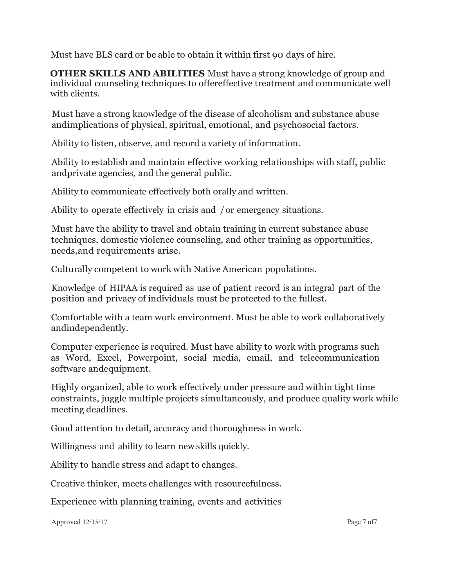Must have BLS card or be able to obtain it within first 90 days of hire.

**OTHER SKILLS AND ABILITIES** Must have a strong knowledge of group and individual counseling techniques to offereffective treatment and communicate well with clients.

Must have a strong knowledge of the disease of alcoholism and substance abuse andimplications of physical, spiritual, emotional, and psychosocial factors.

Ability to listen, observe, and record a variety of information.

Ability to establish and maintain effective working relationships with staff, public andprivate agencies, and the general public.

Ability to communicate effectively both orally and written.

Ability to operate effectively in crisis and / or emergency situations.

Must have the ability to travel and obtain training in current substance abuse techniques, domestic violence counseling, and other training as opportunities, needs,and requirements arise.

Culturally competent to work with Native American populations.

Knowledge of HIPAA is required as use of patient record is an integral part of the position and privacy of individuals must be protected to the fullest.

Comfortable with a team work environment. Must be able to work collaboratively andindependently.

Computer experience is required. Must have ability to work with programs such as Word, Excel, Powerpoint, social media, email, and telecommunication software andequipment.

Highly organized, able to work effectively under pressure and within tight time constraints, juggle multiple projects simultaneously, and produce quality work while meeting deadlines.

Good attention to detail, accuracy and thoroughness in work.

Willingness and ability to learn new skills quickly.

Ability to handle stress and adapt to changes.

Creative thinker, meets challenges with resourcefulness.

Experience with planning training, events and activities

Approved 12/15/17 Page 7 of7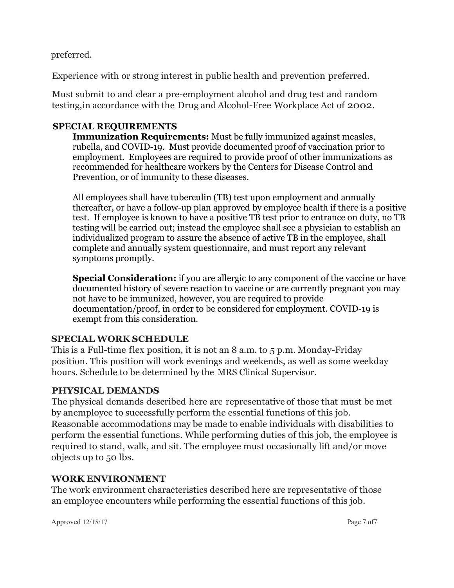preferred.

Experience with or strong interest in public health and prevention preferred.

Must submit to and clear a pre-employment alcohol and drug test and random testing,in accordance with the Drug and Alcohol-Free Workplace Act of 2002.

## **SPECIAL REQUIREMENTS**

**Immunization Requirements:** Must be fully immunized against measles, rubella, and COVID-19. Must provide documented proof of vaccination prior to employment. Employees are required to provide proof of other immunizations as recommended for healthcare workers by the Centers for Disease Control and Prevention, or of immunity to these diseases.

All employees shall have tuberculin (TB) test upon employment and annually thereafter, or have a follow-up plan approved by employee health if there is a positive test. If employee is known to have a positive TB test prior to entrance on duty, no TB testing will be carried out; instead the employee shall see a physician to establish an individualized program to assure the absence of active TB in the employee, shall complete and annually system questionnaire, and must report any relevant symptoms promptly.

**Special Consideration:** if you are allergic to any component of the vaccine or have documented history of severe reaction to vaccine or are currently pregnant you may not have to be immunized, however, you are required to provide documentation/proof, in order to be considered for employment. COVID-19 is exempt from this consideration.

# **SPECIAL WORK SCHEDULE**

This is a Full-time flex position, it is not an 8 a.m. to 5 p.m. Monday-Friday position. This position will work evenings and weekends, as well as some weekday hours. Schedule to be determined by the MRS Clinical Supervisor.

# **PHYSICAL DEMANDS**

The physical demands described here are representative of those that must be met by anemployee to successfully perform the essential functions of this job. Reasonable accommodations may be made to enable individuals with disabilities to perform the essential functions. While performing duties of this job, the employee is required to stand, walk, and sit. The employee must occasionally lift and/or move objects up to 50 lbs.

## **WORK ENVIRONMENT**

The work environment characteristics described here are representative of those an employee encounters while performing the essential functions of this job.